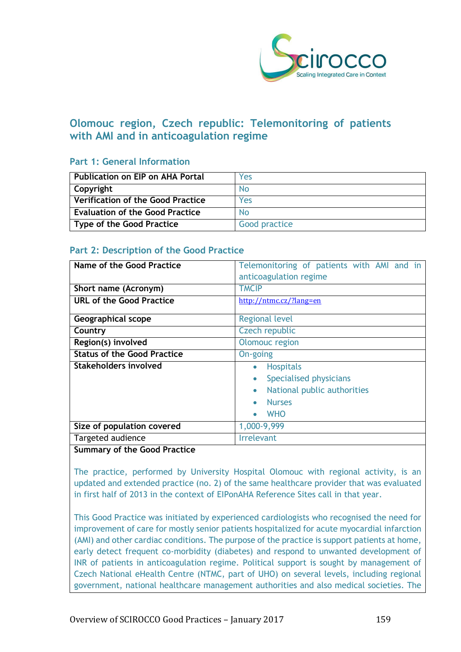

# **Olomouc region, Czech republic: Telemonitoring of patients with AMI and in anticoagulation regime**

# **Part 1: General Information**

| <b>Publication on EIP on AHA Portal</b> | Yes           |
|-----------------------------------------|---------------|
| Copyright                               | No            |
| Verification of the Good Practice       | Yes           |
| <b>Evaluation of the Good Practice</b>  | No            |
| Type of the Good Practice               | Good practice |

# **Part 2: Description of the Good Practice**

| Name of the Good Practice               | Telemonitoring of patients with AMI and in<br>anticoagulation regime |
|-----------------------------------------|----------------------------------------------------------------------|
|                                         |                                                                      |
| Short name (Acronym)                    | <b>TMCIP</b>                                                         |
| <b>URL of the Good Practice</b>         | http://ntmc.cz/?lang=en                                              |
| Geographical scope                      | <b>Regional level</b>                                                |
| Country                                 | Czech republic                                                       |
| Region(s) involved                      | Olomouc region                                                       |
| <b>Status of the Good Practice</b>      | On-going                                                             |
| <b>Stakeholders involved</b>            | <b>Hospitals</b><br>$\bullet$                                        |
|                                         | Specialised physicians                                               |
|                                         | National public authorities<br>$\bullet$                             |
|                                         | <b>Nurses</b>                                                        |
|                                         | <b>WHO</b>                                                           |
| Size of population covered              | 1,000-9,999                                                          |
| Targeted audience                       | <b>Irrelevant</b>                                                    |
| $\overline{\phantom{a}}$<br>$\sim$<br>. |                                                                      |

# **Summary of the Good Practice**

The practice, performed by University Hospital Olomouc with regional activity, is an updated and extended practice (no. 2) of the same healthcare provider that was evaluated in first half of 2013 in the context of EIPonAHA Reference Sites call in that year.

This Good Practice was initiated by experienced cardiologists who recognised the need for improvement of care for mostly senior patients hospitalized for acute myocardial infarction (AMI) and other cardiac conditions. The purpose of the practice is support patients at home, early detect frequent co-morbidity (diabetes) and respond to unwanted development of INR of patients in anticoagulation regime. Political support is sought by management of Czech National eHealth Centre (NTMC, part of UHO) on several levels, including regional government, national healthcare management authorities and also medical societies. The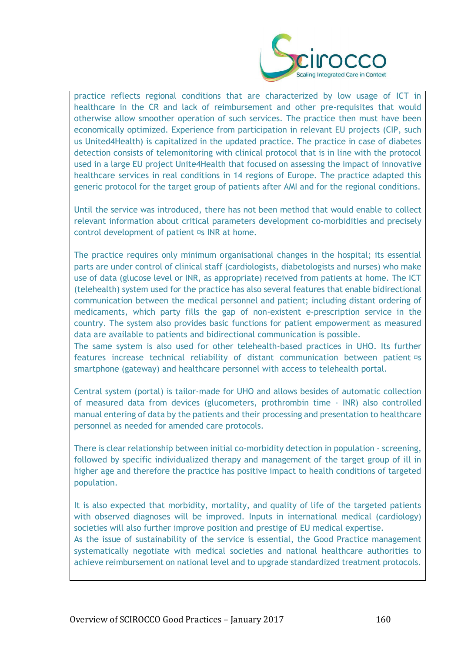

practice reflects regional conditions that are characterized by low usage of ICT in healthcare in the CR and lack of reimbursement and other pre-requisites that would otherwise allow smoother operation of such services. The practice then must have been economically optimized. Experience from participation in relevant EU projects (CIP, such us United4Health) is capitalized in the updated practice. The practice in case of diabetes detection consists of telemonitoring with clinical protocol that is in line with the protocol used in a large EU project Unite4Health that focused on assessing the impact of innovative healthcare services in real conditions in 14 regions of Europe. The practice adapted this generic protocol for the target group of patients after AMI and for the regional conditions.

Until the service was introduced, there has not been method that would enable to collect relevant information about critical parameters development co-morbidities and precisely control development of patient  $\Xi$ s INR at home.

The practice requires only minimum organisational changes in the hospital; its essential parts are under control of clinical staff (cardiologists, diabetologists and nurses) who make use of data (glucose level or INR, as appropriate) received from patients at home. The ICT (telehealth) system used for the practice has also several features that enable bidirectional communication between the medical personnel and patient; including distant ordering of medicaments, which party fills the gap of non-existent e-prescription service in the country. The system also provides basic functions for patient empowerment as measured data are available to patients and bidirectional communication is possible.

The same system is also used for other telehealth-based practices in UHO. Its further features increase technical reliability of distant communication between patient  $\sigma s$ smartphone (gateway) and healthcare personnel with access to telehealth portal.

Central system (portal) is tailor-made for UHO and allows besides of automatic collection of measured data from devices (glucometers, prothrombin time - INR) also controlled manual entering of data by the patients and their processing and presentation to healthcare personnel as needed for amended care protocols.

There is clear relationship between initial co-morbidity detection in population - screening, followed by specific individualized therapy and management of the target group of ill in higher age and therefore the practice has positive impact to health conditions of targeted population.

It is also expected that morbidity, mortality, and quality of life of the targeted patients with observed diagnoses will be improved. Inputs in international medical (cardiology) societies will also further improve position and prestige of EU medical expertise. As the issue of sustainability of the service is essential, the Good Practice management systematically negotiate with medical societies and national healthcare authorities to achieve reimbursement on national level and to upgrade standardized treatment protocols.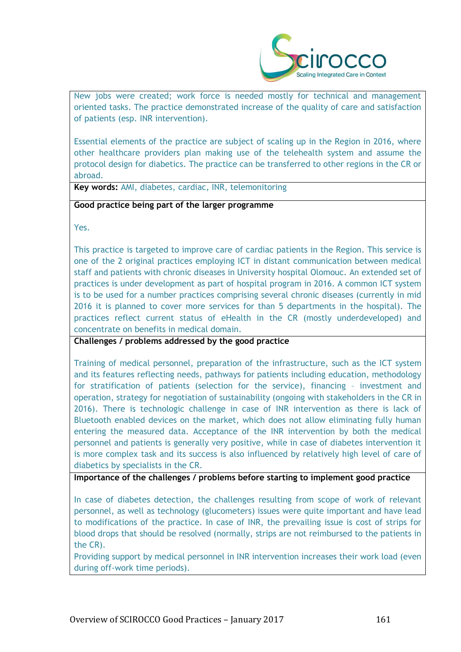

New jobs were created; work force is needed mostly for technical and management oriented tasks. The practice demonstrated increase of the quality of care and satisfaction of patients (esp. INR intervention).

Essential elements of the practice are subject of scaling up in the Region in 2016, where other healthcare providers plan making use of the telehealth system and assume the protocol design for diabetics. The practice can be transferred to other regions in the CR or abroad.

**Key words:** AMI, diabetes, cardiac, INR, telemonitoring

# **Good practice being part of the larger programme**

Yes.

This practice is targeted to improve care of cardiac patients in the Region. This service is one of the 2 original practices employing ICT in distant communication between medical staff and patients with chronic diseases in University hospital Olomouc. An extended set of practices is under development as part of hospital program in 2016. A common ICT system is to be used for a number practices comprising several chronic diseases (currently in mid 2016 it is planned to cover more services for than 5 departments in the hospital). The practices reflect current status of eHealth in the CR (mostly underdeveloped) and concentrate on benefits in medical domain.

**Challenges / problems addressed by the good practice**

Training of medical personnel, preparation of the infrastructure, such as the ICT system and its features reflecting needs, pathways for patients including education, methodology for stratification of patients (selection for the service), financing – investment and operation, strategy for negotiation of sustainability (ongoing with stakeholders in the CR in 2016). There is technologic challenge in case of INR intervention as there is lack of Bluetooth enabled devices on the market, which does not allow eliminating fully human entering the measured data. Acceptance of the INR intervention by both the medical personnel and patients is generally very positive, while in case of diabetes intervention it is more complex task and its success is also influenced by relatively high level of care of diabetics by specialists in the CR.

**Importance of the challenges / problems before starting to implement good practice**

In case of diabetes detection, the challenges resulting from scope of work of relevant personnel, as well as technology (glucometers) issues were quite important and have lead to modifications of the practice. In case of INR, the prevailing issue is cost of strips for blood drops that should be resolved (normally, strips are not reimbursed to the patients in the CR).

Providing support by medical personnel in INR intervention increases their work load (even during off-work time periods).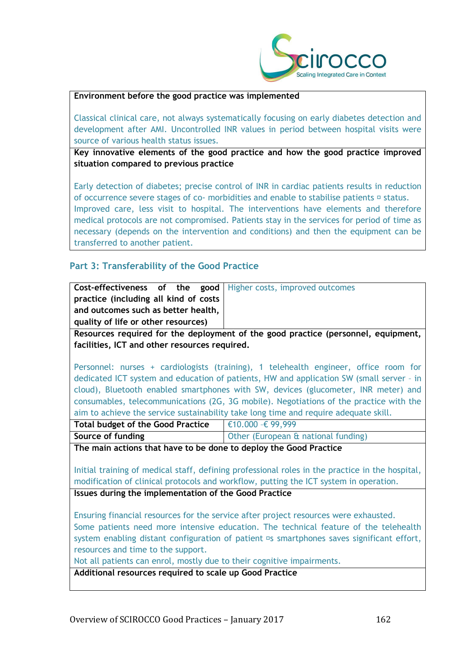

# **Environment before the good practice was implemented**

Classical clinical care, not always systematically focusing on early diabetes detection and development after AMI. Uncontrolled INR values in period between hospital visits were source of various health status issues.

**Key innovative elements of the good practice and how the good practice improved situation compared to previous practice**

Early detection of diabetes; precise control of INR in cardiac patients results in reduction of occurrence severe stages of co- morbidities and enable to stabilise patients  $\square$  status. Improved care, less visit to hospital. The interventions have elements and therefore medical protocols are not compromised. Patients stay in the services for period of time as necessary (depends on the intervention and conditions) and then the equipment can be transferred to another patient.

# **Part 3: Transferability of the Good Practice**

|                                                                                 |  |  | <b>Cost-effectiveness of the good   Higher costs, improved outcomes</b> |
|---------------------------------------------------------------------------------|--|--|-------------------------------------------------------------------------|
| practice (including all kind of costs                                           |  |  |                                                                         |
| and outcomes such as better health,                                             |  |  |                                                                         |
| quality of life or other resources)                                             |  |  |                                                                         |
| Resources required for the deployment of the good practice (personnel equipment |  |  |                                                                         |

**Resources required for the deployment of the good practice (personnel, equipment, facilities, ICT and other resources required.**

Personnel: nurses + cardiologists (training), 1 telehealth engineer, office room for dedicated ICT system and education of patients, HW and application SW (small server – in cloud), Bluetooth enabled smartphones with SW, devices (glucometer, INR meter) and consumables, telecommunications (2G, 3G mobile). Negotiations of the practice with the aim to achieve the service sustainability take long time and require adequate skill.

| <b>Total budget of the Good Practice</b> | $\epsilon$ 10.000 -€ 99,999                    |
|------------------------------------------|------------------------------------------------|
| Source of funding                        | <b>Other (European &amp; national funding)</b> |

**The main actions that have to be done to deploy the Good Practice**

Initial training of medical staff, defining professional roles in the practice in the hospital, modification of clinical protocols and workflow, putting the ICT system in operation.

**Issues during the implementation of the Good Practice**

Ensuring financial resources for the service after project resources were exhausted. Some patients need more intensive education. The technical feature of the telehealth system enabling distant configuration of patient <sup>II</sup>s smartphones saves significant effort, resources and time to the support.

Not all patients can enrol, mostly due to their cognitive impairments.

**Additional resources required to scale up Good Practice**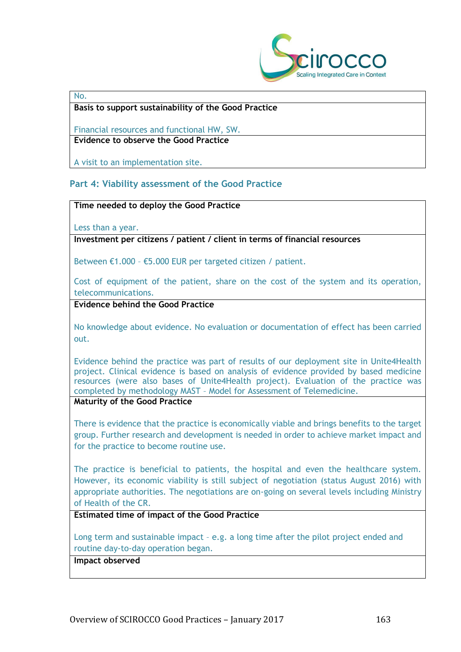

#### No.

#### **Basis to support sustainability of the Good Practice**

Financial resources and functional HW, SW. **Evidence to observe the Good Practice**

A visit to an implementation site.

# **Part 4: Viability assessment of the Good Practice**

# **Time needed to deploy the Good Practice**

Less than a year.

**Investment per citizens / patient / client in terms of financial resources**

Between €1.000 – €5.000 EUR per targeted citizen / patient.

Cost of equipment of the patient, share on the cost of the system and its operation, telecommunications.

**Evidence behind the Good Practice**

No knowledge about evidence. No evaluation or documentation of effect has been carried out.

Evidence behind the practice was part of results of our deployment site in Unite4Health project. Clinical evidence is based on analysis of evidence provided by based medicine resources (were also bases of Unite4Health project). Evaluation of the practice was completed by methodology MAST – Model for Assessment of Telemedicine.

### **Maturity of the Good Practice**

There is evidence that the practice is economically viable and brings benefits to the target group. Further research and development is needed in order to achieve market impact and for the practice to become routine use.

The practice is beneficial to patients, the hospital and even the healthcare system. However, its economic viability is still subject of negotiation (status August 2016) with appropriate authorities. The negotiations are on-going on several levels including Ministry of Health of the CR.

**Estimated time of impact of the Good Practice**

Long term and sustainable impact - e.g. a long time after the pilot project ended and routine day-to-day operation began.

# **Impact observed**